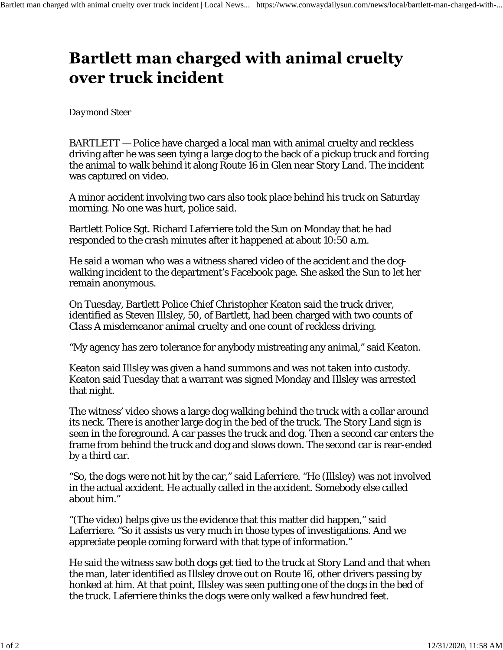## **Bartlett man charged with animal cruelty** over truck incident

## *Daymond Steer*

BARTLETT — Police have charged a local man with animal cruelty and reckless driving after he was seen tying a large dog to the back of a pickup truck and forcing the animal to walk behind it along Route 16 in Glen near Story Land. The incident was captured on video.

A minor accident involving two cars also took place behind his truck on Saturday morning. No one was hurt, police said.

Bartlett Police Sgt. Richard Laferriere told the Sun on Monday that he had responded to the crash minutes after it happened at about 10:50 a.m.

He said a woman who was a witness shared video of the accident and the dogwalking incident to the department's Facebook page. She asked the Sun to let her remain anonymous.

On Tuesday, Bartlett Police Chief Christopher Keaton said the truck driver, identified as Steven Illsley, 50, of Bartlett, had been charged with two counts of Class A misdemeanor animal cruelty and one count of reckless driving.

"My agency has zero tolerance for anybody mistreating any animal," said Keaton.

Keaton said Illsley was given a hand summons and was not taken into custody. Keaton said Tuesday that a warrant was signed Monday and Illsley was arrested that night.

The witness' video shows a large dog walking behind the truck with a collar around its neck. There is another large dog in the bed of the truck. The Story Land sign is seen in the foreground. A car passes the truck and dog. Then a second car enters the frame from behind the truck and dog and slows down. The second car is rear-ended by a third car.

"So, the dogs were not hit by the car," said Laferriere. "He (Illsley) was not involved in the actual accident. He actually called in the accident. Somebody else called about him."

"(The video) helps give us the evidence that this matter did happen," said Laferriere. "So it assists us very much in those types of investigations. And we appreciate people coming forward with that type of information."

He said the witness saw both dogs get tied to the truck at Story Land and that when the man, later identified as Illsley drove out on Route 16, other drivers passing by honked at him. At that point, Illsley was seen putting one of the dogs in the bed of the truck. Laferriere thinks the dogs were only walked a few hundred feet.